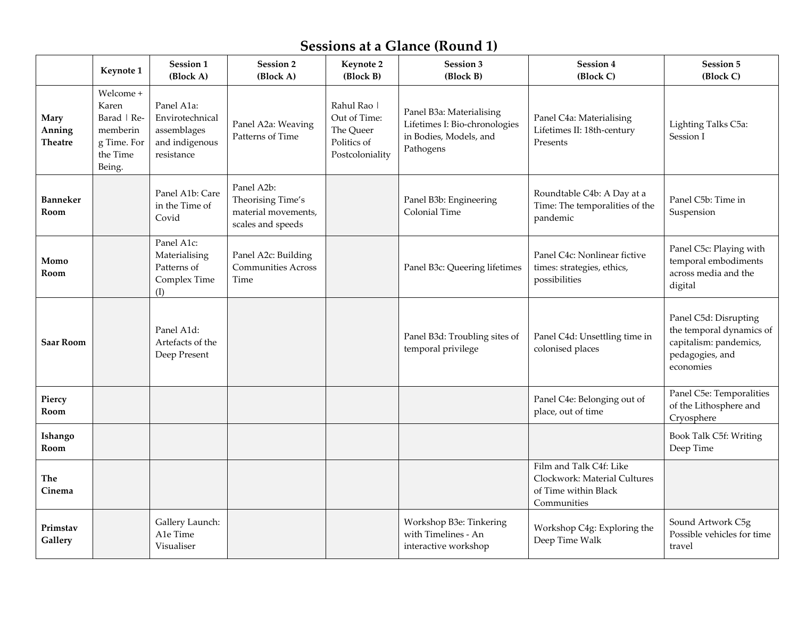# **Sessions at a Glance (Round 1)**

|                                  | Keynote 1                                                                          | Session 1<br>(Block A)                                                       | Session 2<br>(Block A)                                                      | Keynote 2<br>(Block B)                                                     | Session 3<br>(Block B)                                                                           | Session 4<br>(Block C)                                                                         | Session 5<br>(Block C)                                                                                      |  |
|----------------------------------|------------------------------------------------------------------------------------|------------------------------------------------------------------------------|-----------------------------------------------------------------------------|----------------------------------------------------------------------------|--------------------------------------------------------------------------------------------------|------------------------------------------------------------------------------------------------|-------------------------------------------------------------------------------------------------------------|--|
| Mary<br>Anning<br><b>Theatre</b> | Welcome +<br>Karen<br>Barad   Re-<br>memberin<br>g Time. For<br>the Time<br>Being. | Panel A1a:<br>Envirotechnical<br>assemblages<br>and indigenous<br>resistance | Panel A2a: Weaving<br>Patterns of Time                                      | Rahul Rao  <br>Out of Time:<br>The Queer<br>Politics of<br>Postcoloniality | Panel B3a: Materialising<br>Lifetimes I: Bio-chronologies<br>in Bodies, Models, and<br>Pathogens | Panel C4a: Materialising<br>Lifetimes II: 18th-century<br>Presents                             | Lighting Talks C5a:<br>Session I                                                                            |  |
| <b>Banneker</b><br>Room          |                                                                                    | Panel A1b: Care<br>in the Time of<br>Covid                                   | Panel A2b:<br>Theorising Time's<br>material movements,<br>scales and speeds |                                                                            | Panel B3b: Engineering<br>Colonial Time                                                          | Roundtable C4b: A Day at a<br>Time: The temporalities of the<br>pandemic                       | Panel C5b: Time in<br>Suspension                                                                            |  |
| Momo<br>Room                     |                                                                                    | Panel A1c:<br>Materialising<br>Patterns of<br>Complex Time<br>(I)            | Panel A2c: Building<br><b>Communities Across</b><br>Time                    |                                                                            | Panel B3c: Queering lifetimes                                                                    | Panel C4c: Nonlinear fictive<br>times: strategies, ethics,<br>possibilities                    | Panel C5c: Playing with<br>temporal embodiments<br>across media and the<br>digital                          |  |
| <b>Saar Room</b>                 |                                                                                    | Panel A1d:<br>Artefacts of the<br>Deep Present                               |                                                                             |                                                                            | Panel B3d: Troubling sites of<br>temporal privilege                                              | Panel C4d: Unsettling time in<br>colonised places                                              | Panel C5d: Disrupting<br>the temporal dynamics of<br>capitalism: pandemics,<br>pedagogies, and<br>economies |  |
| Piercy<br>Room                   |                                                                                    |                                                                              |                                                                             |                                                                            |                                                                                                  | Panel C4e: Belonging out of<br>place, out of time                                              | Panel C5e: Temporalities<br>of the Lithosphere and<br>Cryosphere                                            |  |
| Ishango<br>Room                  |                                                                                    |                                                                              |                                                                             |                                                                            |                                                                                                  |                                                                                                | Book Talk C5f: Writing<br>Deep Time                                                                         |  |
| The<br>Cinema                    |                                                                                    |                                                                              |                                                                             |                                                                            |                                                                                                  | Film and Talk C4f: Like<br>Clockwork: Material Cultures<br>of Time within Black<br>Communities |                                                                                                             |  |
| Primstav<br>Gallery              |                                                                                    | Gallery Launch:<br>A1e Time<br>Visualiser                                    |                                                                             |                                                                            | Workshop B3e: Tinkering<br>with Timelines - An<br>interactive workshop                           | Workshop C4g: Exploring the<br>Deep Time Walk                                                  | Sound Artwork C5g<br>Possible vehicles for time<br>travel                                                   |  |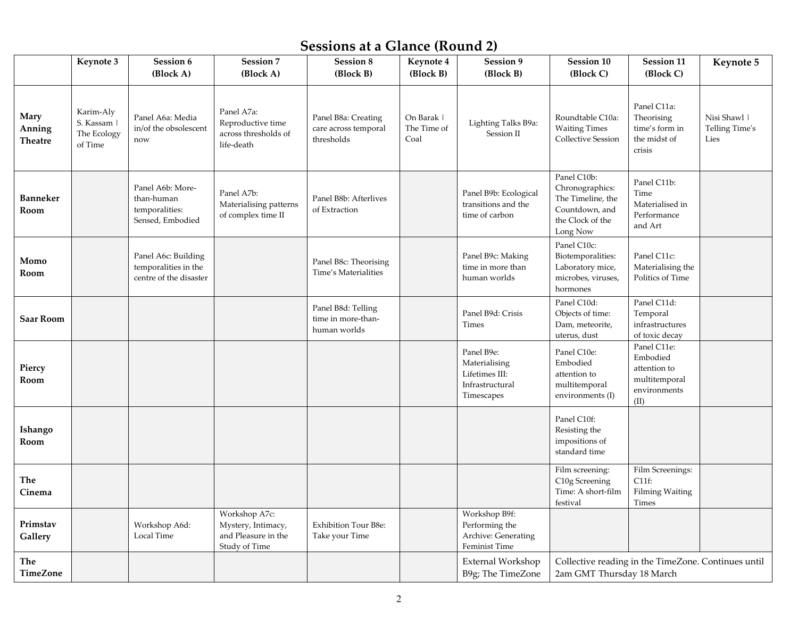# **Sessions at a Glance (Round 2)**

|                                  | Keynote 3                                          | Session 6<br>(Block A)                                                | Session 7<br>(Block A)                                                      | <b>Session 8</b><br>(Block B)                             | Keynote 4<br>(Block B)            | Session 9<br>(Block B)                                                         | Session 10<br>(Block C)                                                                               | Session 11<br>(Block C)                                                          | Keynote 5                              |
|----------------------------------|----------------------------------------------------|-----------------------------------------------------------------------|-----------------------------------------------------------------------------|-----------------------------------------------------------|-----------------------------------|--------------------------------------------------------------------------------|-------------------------------------------------------------------------------------------------------|----------------------------------------------------------------------------------|----------------------------------------|
| <b>Mary</b><br>Anning<br>Theatre | Karim-Aly<br>S. Kassam  <br>The Ecology<br>of Time | Panel A6a: Media<br>in/of the obsolescent<br>now                      | Panel A7a:<br>Reproductive time<br>across thresholds of<br>life-death       | Panel B8a: Creating<br>care across temporal<br>thresholds | On Barak  <br>The Time of<br>Coal | Lighting Talks B9a:<br>Session II                                              | Roundtable C10a:<br><b>Waiting Times</b><br><b>Collective Session</b>                                 | Panel C11a:<br>Theorising<br>time's form in<br>the midst of<br>crisis            | Nisi Shawl  <br>Telling Time's<br>Lies |
| Banneker<br>Room                 |                                                    | Panel A6b: More-<br>than-human<br>temporalities:<br>Sensed, Embodied  | Panel A7b:<br>Materialising patterns<br>of complex time II                  | Panel B8b: Afterlives<br>of Extraction                    |                                   | Panel B9b: Ecological<br>transitions and the<br>time of carbon                 | Panel C10b:<br>Chronographics:<br>The Timeline, the<br>Countdown, and<br>the Clock of the<br>Long Now | Panel C11b:<br>Time<br>Materialised in<br>Performance<br>and Art                 |                                        |
| Momo<br>Room                     |                                                    | Panel A6c: Building<br>temporalities in the<br>centre of the disaster |                                                                             | Panel B8c: Theorising<br>Time's Materialities             |                                   | Panel B9c: Making<br>time in more than<br>human worlds                         | Panel C10c:<br>Biotemporalities:<br>Laboratory mice,<br>microbes, viruses,<br>hormones                | Panel C11c:<br>Materialising the<br>Politics of Time                             |                                        |
| Saar Room                        |                                                    |                                                                       |                                                                             | Panel B8d: Telling<br>time in more-than-<br>human worlds  |                                   | Panel B9d: Crisis<br>Times                                                     | Panel C10d:<br>Objects of time:<br>Dam, meteorite,<br>uterus, dust                                    | Panel C11d:<br>Temporal<br>infrastructures<br>of toxic decay                     |                                        |
| Piercy<br>Room                   |                                                    |                                                                       |                                                                             |                                                           |                                   | Panel B9e:<br>Materialising<br>Lifetimes III:<br>Infrastructural<br>Timescapes | Panel C10e:<br>Embodied<br>attention to<br>multitemporal<br>environments (I)                          | Panel C11e:<br>Embodied<br>attention to<br>multitemporal<br>environments<br>(II) |                                        |
| Ishango<br>Room                  |                                                    |                                                                       |                                                                             |                                                           |                                   |                                                                                | Panel C10f:<br>Resisting the<br>impositions of<br>standard time                                       |                                                                                  |                                        |
| The<br>Cinema                    |                                                    |                                                                       |                                                                             |                                                           |                                   |                                                                                | Film screening:<br>C10g Screening<br>Time: A short-film<br>festival                                   | Film Screenings:<br>$C11f$ :<br><b>Filming Waiting</b><br>Times                  |                                        |
| Primstav<br>Gallery              |                                                    | Workshop A6d:<br>Local Time                                           | Workshop A7c:<br>Mystery, Intimacy,<br>and Pleasure in the<br>Study of Time | Exhibition Tour B8e:<br>Take your Time                    |                                   | Workshop B9f:<br>Performing the<br>Archive: Generating<br>Feminist Time        |                                                                                                       |                                                                                  |                                        |
| The<br><b>TimeZone</b>           |                                                    |                                                                       |                                                                             |                                                           |                                   | External Workshop<br>B9g; The TimeZone                                         | Collective reading in the TimeZone. Continues until<br>2am GMT Thursday 18 March                      |                                                                                  |                                        |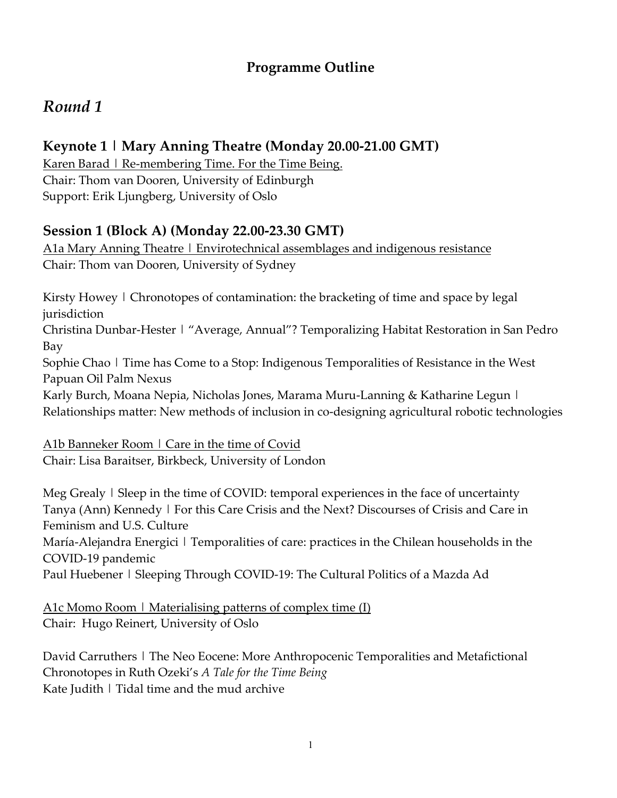### **Programme Outline**

# *Round 1*

## **Keynote 1 | Mary Anning Theatre (Monday 20.00-21.00 GMT)**

Karen Barad | Re-membering Time. For the Time Being. Chair: Thom van Dooren, University of Edinburgh Support: Erik Ljungberg, University of Oslo

## **Session 1 (Block A) (Monday 22.00-23.30 GMT)**

A1a Mary Anning Theatre | Envirotechnical assemblages and indigenous resistance Chair: Thom van Dooren, University of Sydney

Kirsty Howey | Chronotopes of contamination: the bracketing of time and space by legal jurisdiction Christina Dunbar-Hester | "Average, Annual"? Temporalizing Habitat Restoration in San Pedro Bay Sophie Chao | Time has Come to a Stop: Indigenous Temporalities of Resistance in the West Papuan Oil Palm Nexus Karly Burch, Moana Nepia, Nicholas Jones, Marama Muru-Lanning & Katharine Legun | Relationships matter: New methods of inclusion in co-designing agricultural robotic technologies

A1b Banneker Room | Care in the time of Covid

Chair: Lisa Baraitser, Birkbeck, University of London

Meg Grealy | Sleep in the time of COVID: temporal experiences in the face of uncertainty Tanya (Ann) Kennedy | For this Care Crisis and the Next? Discourses of Crisis and Care in Feminism and U.S. Culture

María-Alejandra Energici | Temporalities of care: practices in the Chilean households in the COVID-19 pandemic

Paul Huebener | Sleeping Through COVID-19: The Cultural Politics of a Mazda Ad

A1c Momo Room | Materialising patterns of complex time (I) Chair: Hugo Reinert, University of Oslo

David Carruthers | The Neo Eocene: More Anthropocenic Temporalities and Metafictional Chronotopes in Ruth Ozeki's *A Tale for the Time Being* Kate Judith | Tidal time and the mud archive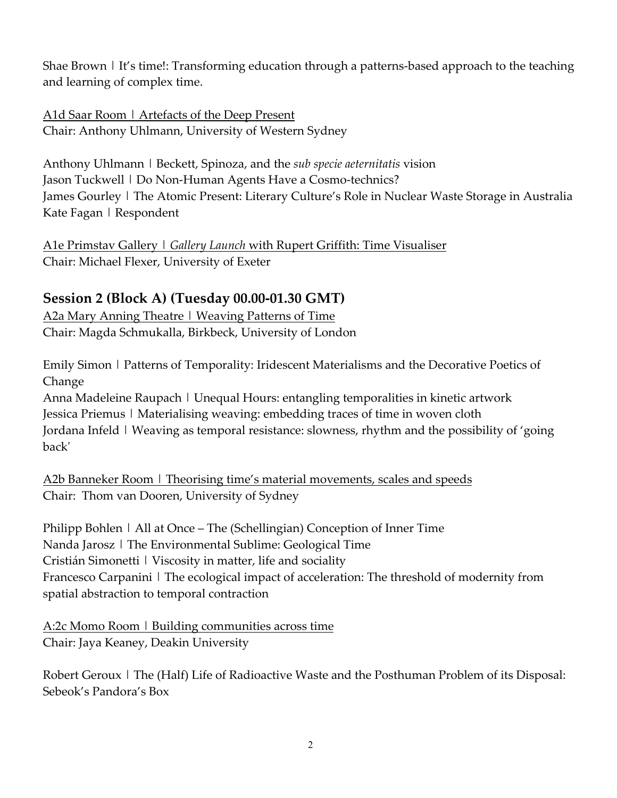Shae Brown | It's time!: Transforming education through a patterns-based approach to the teaching and learning of complex time.

A1d Saar Room | Artefacts of the Deep Present Chair: Anthony Uhlmann, University of Western Sydney

Anthony Uhlmann | Beckett, Spinoza, and the *sub specie aeternitatis* vision Jason Tuckwell | Do Non-Human Agents Have a Cosmo-technics? James Gourley | The Atomic Present: Literary Culture's Role in Nuclear Waste Storage in Australia Kate Fagan | Respondent

A1e Primstav Gallery | *Gallery Launch* with Rupert Griffith: Time Visualiser Chair: Michael Flexer, University of Exeter

### **Session 2 (Block A) (Tuesday 00.00-01.30 GMT)**

A2a Mary Anning Theatre | Weaving Patterns of Time Chair: Magda Schmukalla, Birkbeck, University of London

Emily Simon | Patterns of Temporality: Iridescent Materialisms and the Decorative Poetics of Change

Anna Madeleine Raupach | Unequal Hours: entangling temporalities in kinetic artwork Jessica Priemus | Materialising weaving: embedding traces of time in woven cloth Jordana Infeld | Weaving as temporal resistance: slowness, rhythm and the possibility of 'going back'

A2b Banneker Room | Theorising time's material movements, scales and speeds Chair: Thom van Dooren, University of Sydney

Philipp Bohlen | All at Once – The (Schellingian) Conception of Inner Time Nanda Jarosz | The Environmental Sublime: Geological Time Cristián Simonetti | Viscosity in matter, life and sociality Francesco Carpanini | The ecological impact of acceleration: The threshold of modernity from spatial abstraction to temporal contraction

A:2c Momo Room | Building communities across time Chair: Jaya Keaney, Deakin University

Robert Geroux | The (Half) Life of Radioactive Waste and the Posthuman Problem of its Disposal: Sebeok's Pandora's Box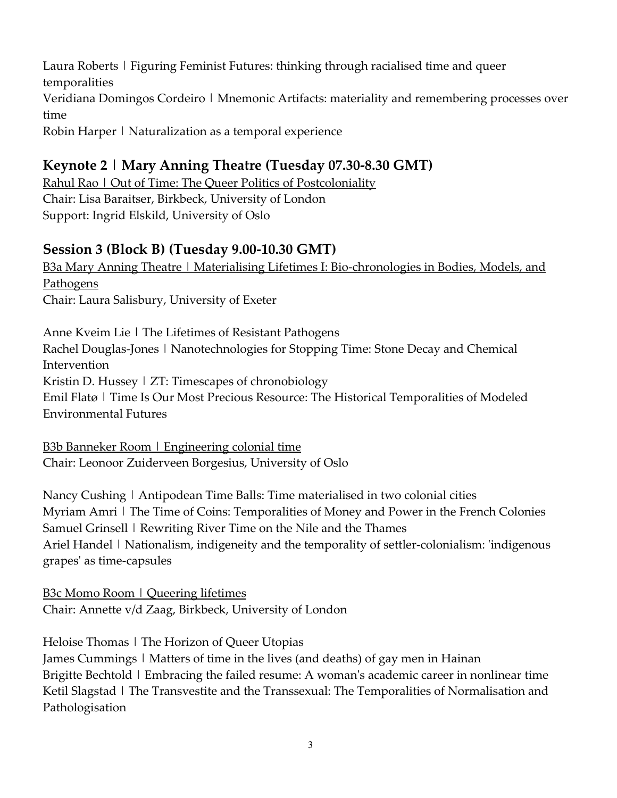Laura Roberts | Figuring Feminist Futures: thinking through racialised time and queer temporalities Veridiana Domingos Cordeiro | Mnemonic Artifacts: materiality and remembering processes over time Robin Harper | Naturalization as a temporal experience

#### **Keynote 2 | Mary Anning Theatre (Tuesday 07.30-8.30 GMT)**

Rahul Rao | Out of Time: The Queer Politics of Postcoloniality Chair: Lisa Baraitser, Birkbeck, University of London Support: Ingrid Elskild, University of Oslo

#### **Session 3 (Block B) (Tuesday 9.00-10.30 GMT)**

B3a Mary Anning Theatre | Materialising Lifetimes I: Bio-chronologies in Bodies, Models, and Pathogens Chair: Laura Salisbury, University of Exeter

Anne Kveim Lie | The Lifetimes of Resistant Pathogens Rachel Douglas-Jones | Nanotechnologies for Stopping Time: Stone Decay and Chemical Intervention Kristin D. Hussey | ZT: Timescapes of chronobiology Emil Flatø | Time Is Our Most Precious Resource: The Historical Temporalities of Modeled Environmental Futures

B3b Banneker Room | Engineering colonial time Chair: Leonoor Zuiderveen Borgesius, University of Oslo

Nancy Cushing | Antipodean Time Balls: Time materialised in two colonial cities Myriam Amri | The Time of Coins: Temporalities of Money and Power in the French Colonies Samuel Grinsell | Rewriting River Time on the Nile and the Thames Ariel Handel | Nationalism, indigeneity and the temporality of settler-colonialism: 'indigenous grapes' as time-capsules

B3c Momo Room | Queering lifetimes Chair: Annette v/d Zaag, Birkbeck, University of London

Heloise Thomas | The Horizon of Queer Utopias

James Cummings | Matters of time in the lives (and deaths) of gay men in Hainan Brigitte Bechtold | Embracing the failed resume: A woman's academic career in nonlinear time Ketil Slagstad | The Transvestite and the Transsexual: The Temporalities of Normalisation and Pathologisation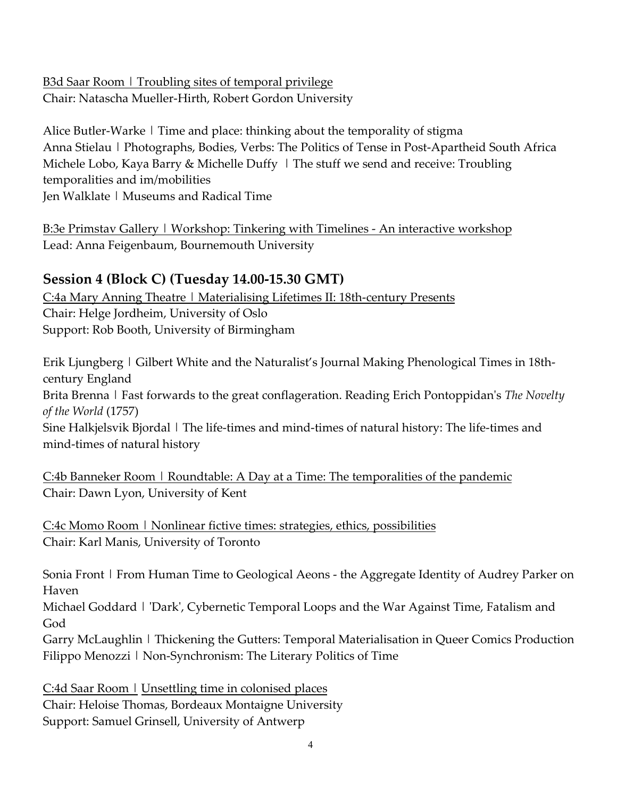B3d Saar Room | Troubling sites of temporal privilege Chair: Natascha Mueller-Hirth, Robert Gordon University

Alice Butler-Warke | Time and place: thinking about the temporality of stigma Anna Stielau | Photographs, Bodies, Verbs: The Politics of Tense in Post-Apartheid South Africa Michele Lobo, Kaya Barry & Michelle Duffy | The stuff we send and receive: Troubling temporalities and im/mobilities Jen Walklate | Museums and Radical Time

B:3e Primstav Gallery | Workshop: Tinkering with Timelines - An interactive workshop Lead: Anna Feigenbaum, Bournemouth University

#### **Session 4 (Block C) (Tuesday 14.00-15.30 GMT)**

C:4a Mary Anning Theatre | Materialising Lifetimes II: 18th-century Presents Chair: Helge Jordheim, University of Oslo Support: Rob Booth, University of Birmingham

Erik Ljungberg | Gilbert White and the Naturalist's Journal Making Phenological Times in 18thcentury England

Brita Brenna | Fast forwards to the great conflageration. Reading Erich Pontoppidan's *The Novelty of the World* (1757)

Sine Halkjelsvik Bjordal | The life-times and mind-times of natural history: The life-times and mind-times of natural history

C:4b Banneker Room | Roundtable: A Day at a Time: The temporalities of the pandemic Chair: Dawn Lyon, University of Kent

C:4c Momo Room | Nonlinear fictive times: strategies, ethics, possibilities Chair: Karl Manis, University of Toronto

Sonia Front | From Human Time to Geological Aeons - the Aggregate Identity of Audrey Parker on Haven

Michael Goddard | 'Dark', Cybernetic Temporal Loops and the War Against Time, Fatalism and God

Garry McLaughlin | Thickening the Gutters: Temporal Materialisation in Queer Comics Production Filippo Menozzi | Non-Synchronism: The Literary Politics of Time

C:4d Saar Room | Unsettling time in colonised places Chair: Heloise Thomas, Bordeaux Montaigne University Support: Samuel Grinsell, University of Antwerp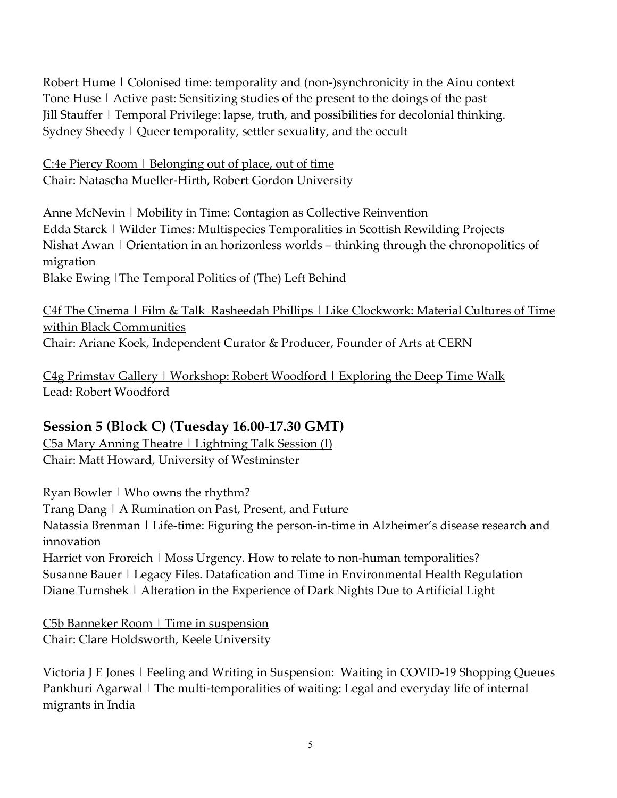Robert Hume | Colonised time: temporality and (non-)synchronicity in the Ainu context Tone Huse | Active past: Sensitizing studies of the present to the doings of the past Jill Stauffer | Temporal Privilege: lapse, truth, and possibilities for decolonial thinking. Sydney Sheedy | Queer temporality, settler sexuality, and the occult

<u>C:4e Piercy Room | Belonging out of place, out of time</u> Chair: Natascha Mueller-Hirth, Robert Gordon University

Anne McNevin | Mobility in Time: Contagion as Collective Reinvention Edda Starck | Wilder Times: Multispecies Temporalities in Scottish Rewilding Projects Nishat Awan | Orientation in an horizonless worlds – thinking through the chronopolitics of migration Blake Ewing |The Temporal Politics of (The) Left Behind

C4f The Cinema | Film & Talk Rasheedah Phillips | Like Clockwork: Material Cultures of Time within Black Communities Chair: Ariane Koek, Independent Curator & Producer, Founder of Arts at CERN

C4g Primstav Gallery | Workshop: Robert Woodford | Exploring the Deep Time Walk Lead: Robert Woodford

#### **Session 5 (Block C) (Tuesday 16.00-17.30 GMT)**

 $C$ 5a Mary Anning Theatre | Lightning Talk Session (I) Chair: Matt Howard, University of Westminster

Ryan Bowler | Who owns the rhythm?

Trang Dang | A Rumination on Past, Present, and Future

Natassia Brenman | Life-time: Figuring the person-in-time in Alzheimer's disease research and innovation

Harriet von Froreich | Moss Urgency. How to relate to non-human temporalities? Susanne Bauer | Legacy Files. Datafication and Time in Environmental Health Regulation Diane Turnshek | Alteration in the Experience of Dark Nights Due to Artificial Light

C5b Banneker Room | Time in suspension Chair: Clare Holdsworth, Keele University

Victoria J E Jones | Feeling and Writing in Suspension: Waiting in COVID-19 Shopping Queues Pankhuri Agarwal | The multi-temporalities of waiting: Legal and everyday life of internal migrants in India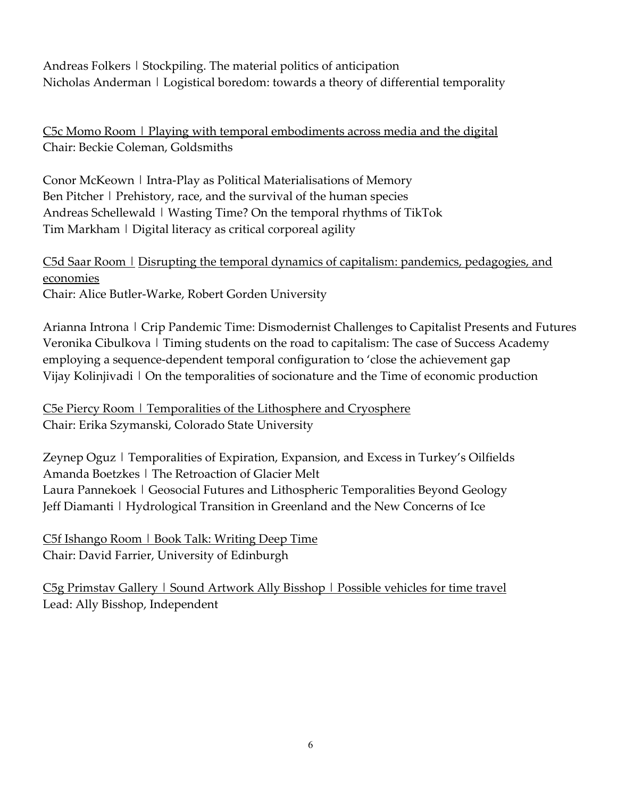Andreas Folkers | Stockpiling. The material politics of anticipation Nicholas Anderman | Logistical boredom: towards a theory of differential temporality

C5c Momo Room | Playing with temporal embodiments across media and the digital Chair: Beckie Coleman, Goldsmiths

Conor McKeown | Intra-Play as Political Materialisations of Memory Ben Pitcher | Prehistory, race, and the survival of the human species Andreas Schellewald | Wasting Time? On the temporal rhythms of TikTok Tim Markham | Digital literacy as critical corporeal agility

C5d Saar Room | Disrupting the temporal dynamics of capitalism: pandemics, pedagogies, and economies Chair: Alice Butler-Warke, Robert Gorden University

Arianna Introna | Crip Pandemic Time: Dismodernist Challenges to Capitalist Presents and Futures Veronika Cibulkova | Timing students on the road to capitalism: The case of Success Academy employing a sequence-dependent temporal configuration to 'close the achievement gap Vijay Kolinjivadi | On the temporalities of socionature and the Time of economic production

C5e Piercy Room | Temporalities of the Lithosphere and Cryosphere Chair: Erika Szymanski, Colorado State University

Zeynep Oguz | Temporalities of Expiration, Expansion, and Excess in Turkey's Oilfields Amanda Boetzkes | The Retroaction of Glacier Melt Laura Pannekoek | Geosocial Futures and Lithospheric Temporalities Beyond Geology Jeff Diamanti | Hydrological Transition in Greenland and the New Concerns of Ice

C5f Ishango Room | Book Talk: Writing Deep Time Chair: David Farrier, University of Edinburgh

C5g Primstav Gallery | Sound Artwork Ally Bisshop | Possible vehicles for time travel Lead: Ally Bisshop, Independent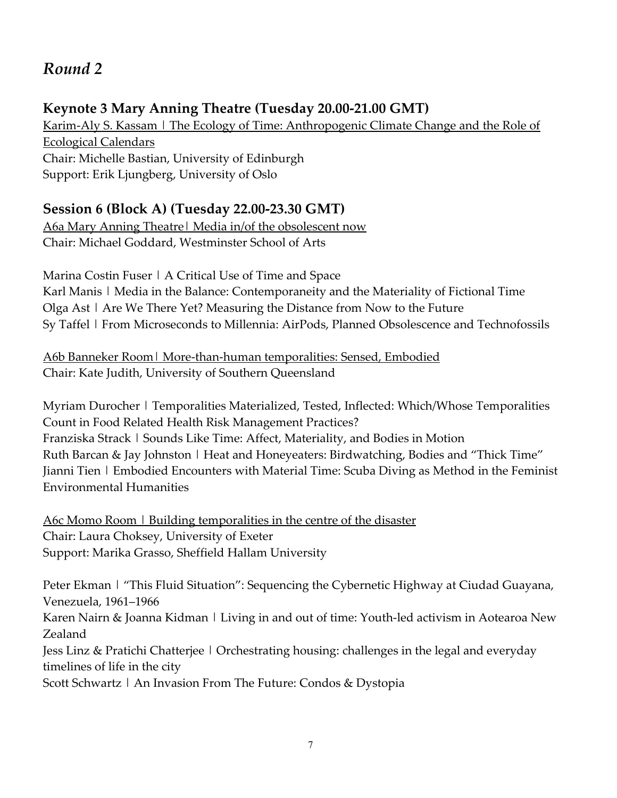# *Round 2*

## **Keynote 3 Mary Anning Theatre (Tuesday 20.00-21.00 GMT)**

Karim-Aly S. Kassam | The Ecology of Time: Anthropogenic Climate Change and the Role of Ecological Calendars Chair: Michelle Bastian, University of Edinburgh Support: Erik Ljungberg, University of Oslo

## **Session 6 (Block A) (Tuesday 22.00-23.30 GMT)**

A6a Mary Anning Theatre| Media in/of the obsolescent now Chair: Michael Goddard, Westminster School of Arts

Marina Costin Fuser | A Critical Use of Time and Space Karl Manis | Media in the Balance: Contemporaneity and the Materiality of Fictional Time Olga Ast | Are We There Yet? Measuring the Distance from Now to the Future Sy Taffel | From Microseconds to Millennia: AirPods, Planned Obsolescence and Technofossils

A6b Banneker Room| More-than-human temporalities: Sensed, Embodied Chair: Kate Judith, University of Southern Queensland

Myriam Durocher | Temporalities Materialized, Tested, Inflected: Which/Whose Temporalities Count in Food Related Health Risk Management Practices? Franziska Strack | Sounds Like Time: Affect, Materiality, and Bodies in Motion Ruth Barcan & Jay Johnston | Heat and Honeyeaters: Birdwatching, Bodies and "Thick Time" Jianni Tien | Embodied Encounters with Material Time: Scuba Diving as Method in the Feminist Environmental Humanities

A6c Momo Room | Building temporalities in the centre of the disaster Chair: Laura Choksey, University of Exeter Support: Marika Grasso, Sheffield Hallam University

Peter Ekman | "This Fluid Situation": Sequencing the Cybernetic Highway at Ciudad Guayana, Venezuela, 1961–1966

Karen Nairn & Joanna Kidman | Living in and out of time: Youth-led activism in Aotearoa New Zealand

Jess Linz & Pratichi Chatterjee | Orchestrating housing: challenges in the legal and everyday timelines of life in the city

Scott Schwartz | An Invasion From The Future: Condos & Dystopia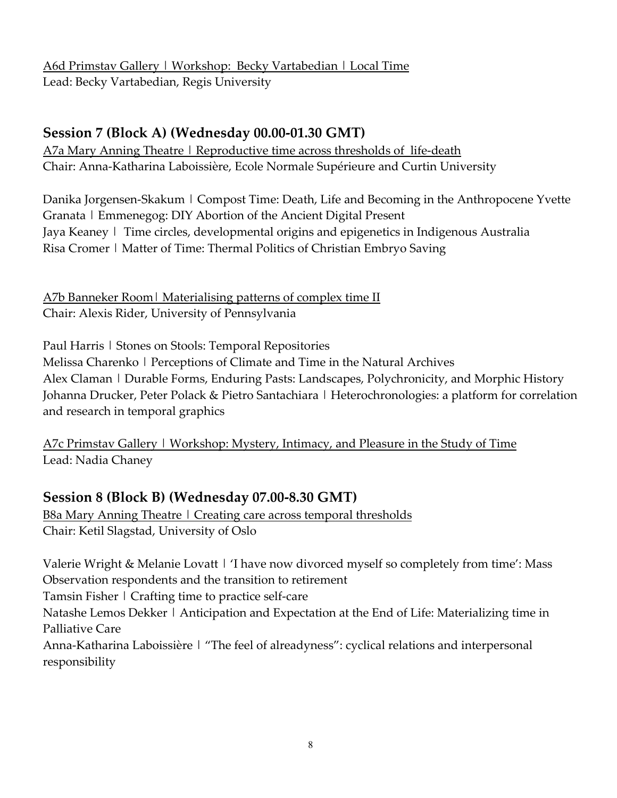A6d Primstav Gallery | Workshop: Becky Vartabedian | Local Time Lead: Becky Vartabedian, Regis University

#### **Session 7 (Block A) (Wednesday 00.00-01.30 GMT)**

A7a Mary Anning Theatre | Reproductive time across thresholds of life-death Chair: Anna-Katharina Laboissière, Ecole Normale Supérieure and Curtin University

Danika Jorgensen-Skakum | Compost Time: Death, Life and Becoming in the Anthropocene Yvette Granata | Emmenegog: DIY Abortion of the Ancient Digital Present Jaya Keaney | Time circles, developmental origins and epigenetics in Indigenous Australia Risa Cromer | Matter of Time: Thermal Politics of Christian Embryo Saving

A7b Banneker Room | Materialising patterns of complex time II Chair: Alexis Rider, University of Pennsylvania

Paul Harris | Stones on Stools: Temporal Repositories

Melissa Charenko | Perceptions of Climate and Time in the Natural Archives Alex Claman | Durable Forms, Enduring Pasts: Landscapes, Polychronicity, and Morphic History Johanna Drucker, Peter Polack & Pietro Santachiara | Heterochronologies: a platform for correlation and research in temporal graphics

A7c Primstav Gallery | Workshop: Mystery, Intimacy, and Pleasure in the Study of Time Lead: Nadia Chaney

### **Session 8 (Block B) (Wednesday 07.00-8.30 GMT)**

B8a Mary Anning Theatre | Creating care across temporal thresholds Chair: Ketil Slagstad, University of Oslo

Valerie Wright & Melanie Lovatt | 'I have now divorced myself so completely from time': Mass Observation respondents and the transition to retirement

Tamsin Fisher | Crafting time to practice self-care

Natashe Lemos Dekker | Anticipation and Expectation at the End of Life: Materializing time in Palliative Care

Anna-Katharina Laboissière | "The feel of alreadyness": cyclical relations and interpersonal responsibility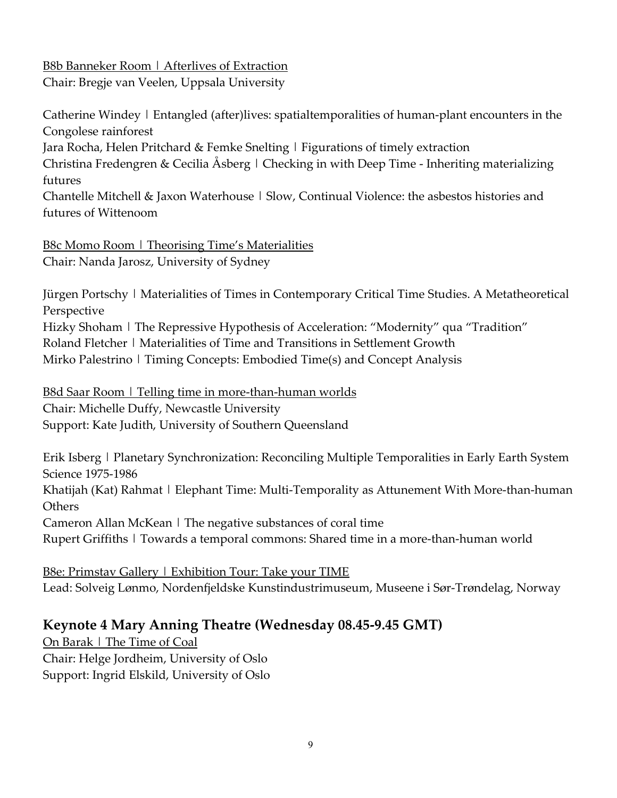# **B8b Banneker Room | Afterlives of Extraction**

Chair: Bregje van Veelen, Uppsala University

Catherine Windey | Entangled (after)lives: spatialtemporalities of human-plant encounters in the Congolese rainforest

Jara Rocha, Helen Pritchard & Femke Snelting | Figurations of timely extraction

Christina Fredengren & Cecilia Åsberg | Checking in with Deep Time - Inheriting materializing futures

Chantelle Mitchell & Jaxon Waterhouse  $\vert$  Slow, Continual Violence: the asbestos histories and futures of Wittenoom

B8c Momo Room | Theorising Time's Materialities Chair: Nanda Jarosz, University of Sydney

Jürgen Portschy | Materialities of Times in Contemporary Critical Time Studies. A Metatheoretical Perspective

Hizky Shoham | The Repressive Hypothesis of Acceleration: "Modernity" qua "Tradition" Roland Fletcher | Materialities of Time and Transitions in Settlement Growth Mirko Palestrino | Timing Concepts: Embodied Time(s) and Concept Analysis

B8d Saar Room | Telling time in more-than-human worlds Chair: Michelle Duffy, Newcastle University Support: Kate Judith, University of Southern Queensland

Erik Isberg | Planetary Synchronization: Reconciling Multiple Temporalities in Early Earth System Science 1975-1986

Khatijah (Kat) Rahmat | Elephant Time: Multi-Temporality as Attunement With More-than-human **Others** 

Cameron Allan McKean | The negative substances of coral time

Rupert Griffiths | Towards a temporal commons: Shared time in a more-than-human world

B8e: Primstav Gallery | Exhibition Tour: Take your TIME Lead: Solveig Lønmo, Nordenfjeldske Kunstindustrimuseum, Museene i Sør-Trøndelag, Norway

### **Keynote 4 Mary Anning Theatre (Wednesday 08.45-9.45 GMT)**

On Barak | The Time of Coal Chair: Helge Jordheim, University of Oslo Support: Ingrid Elskild, University of Oslo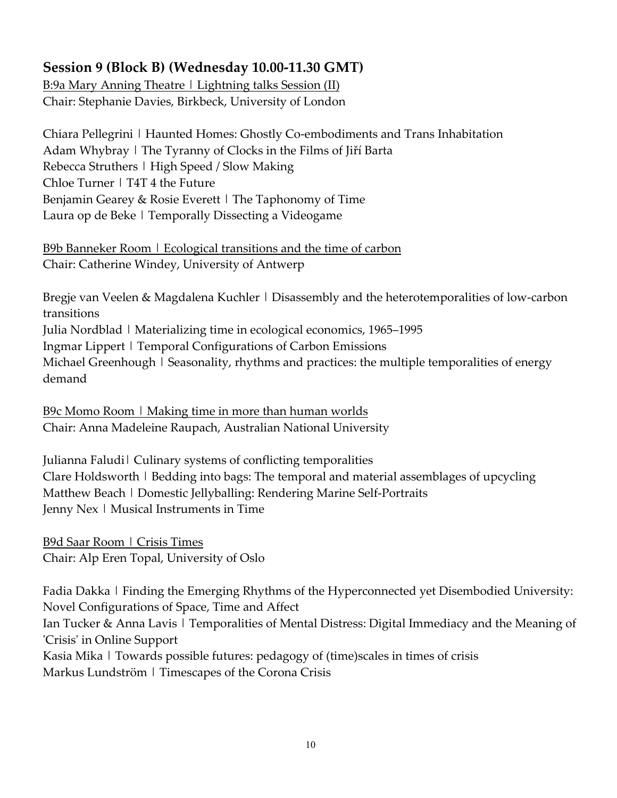# **Session 9 (Block B) (Wednesday 10.00-11.30 GMT)**

B:9a Mary Anning Theatre | Lightning talks Session (II) Chair: Stephanie Davies, Birkbeck, University of London

Chiara Pellegrini | Haunted Homes: Ghostly Co-embodiments and Trans Inhabitation Adam Whybray | The Tyranny of Clocks in the Films of Jiří Barta Rebecca Struthers | High Speed / Slow Making Chloe Turner | T4T 4 the Future Benjamin Gearey & Rosie Everett | The Taphonomy of Time Laura op de Beke | Temporally Dissecting a Videogame

B9b Banneker Room | Ecological transitions and the time of carbon Chair: Catherine Windey, University of Antwerp

Bregje van Veelen & Magdalena Kuchler | Disassembly and the heterotemporalities of low-carbon transitions Julia Nordblad | Materializing time in ecological economics, 1965–1995 Ingmar Lippert | Temporal Configurations of Carbon Emissions Michael Greenhough | Seasonality, rhythms and practices: the multiple temporalities of energy demand

B9c Momo Room | Making time in more than human worlds Chair: Anna Madeleine Raupach, Australian National University

Julianna Faludi| Culinary systems of conflicting temporalities Clare Holdsworth | Bedding into bags: The temporal and material assemblages of upcycling Matthew Beach | Domestic Jellyballing: Rendering Marine Self-Portraits Jenny Nex | Musical Instruments in Time

B9d Saar Room | Crisis Times Chair: Alp Eren Topal, University of Oslo

Fadia Dakka | Finding the Emerging Rhythms of the Hyperconnected yet Disembodied University: Novel Configurations of Space, Time and Affect Ian Tucker & Anna Lavis | Temporalities of Mental Distress: Digital Immediacy and the Meaning of 'Crisis' in Online Support Kasia Mika | Towards possible futures: pedagogy of (time) scales in times of crisis Markus Lundström | Timescapes of the Corona Crisis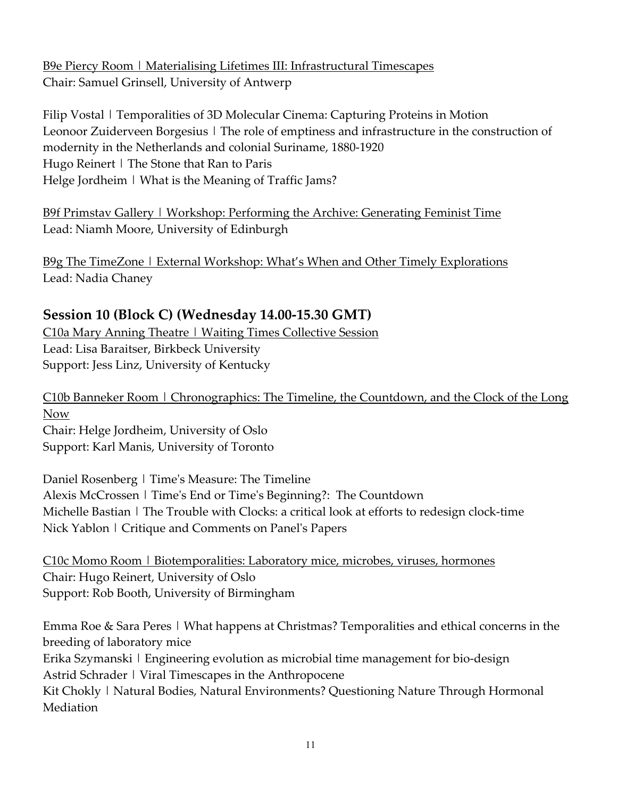B9e Piercy Room | Materialising Lifetimes III: Infrastructural Timescapes Chair: Samuel Grinsell, University of Antwerp

Filip Vostal | Temporalities of 3D Molecular Cinema: Capturing Proteins in Motion Leonoor Zuiderveen Borgesius | The role of emptiness and infrastructure in the construction of modernity in the Netherlands and colonial Suriname, 1880-1920 Hugo Reinert | The Stone that Ran to Paris Helge Jordheim | What is the Meaning of Traffic Jams?

B9f Primstav Gallery | Workshop: Performing the Archive: Generating Feminist Time Lead: Niamh Moore, University of Edinburgh

B9g The TimeZone | External Workshop: What's When and Other Timely Explorations Lead: Nadia Chaney

#### **Session 10 (Block C) (Wednesday 14.00-15.30 GMT)**

C10a Mary Anning Theatre | Waiting Times Collective Session Lead: Lisa Baraitser, Birkbeck University Support: Jess Linz, University of Kentucky

C10b Banneker Room | Chronographics: The Timeline, the Countdown, and the Clock of the Long Now

Chair: Helge Jordheim, University of Oslo Support: Karl Manis, University of Toronto

Daniel Rosenberg | Time's Measure: The Timeline Alexis McCrossen | Time's End or Time's Beginning?: The Countdown Michelle Bastian | The Trouble with Clocks: a critical look at efforts to redesign clock-time Nick Yablon | Critique and Comments on Panel's Papers

C10c Momo Room | Biotemporalities: Laboratory mice, microbes, viruses, hormones Chair: Hugo Reinert, University of Oslo Support: Rob Booth, University of Birmingham

Emma Roe & Sara Peres | What happens at Christmas? Temporalities and ethical concerns in the breeding of laboratory mice

Erika Szymanski | Engineering evolution as microbial time management for bio-design Astrid Schrader | Viral Timescapes in the Anthropocene

Kit Chokly | Natural Bodies, Natural Environments? Questioning Nature Through Hormonal Mediation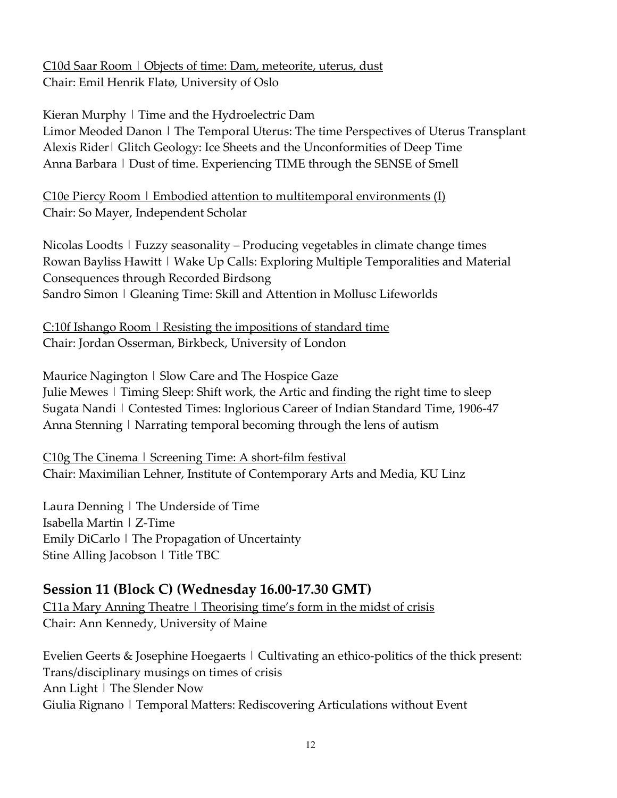C10d Saar Room | Objects of time: Dam, meteorite, uterus, dust Chair: Emil Henrik Flatø, University of Oslo

Kieran Murphy | Time and the Hydroelectric Dam Limor Meoded Danon | The Temporal Uterus: The time Perspectives of Uterus Transplant Alexis Rider| Glitch Geology: Ice Sheets and the Unconformities of Deep Time Anna Barbara | Dust of time. Experiencing TIME through the SENSE of Smell

C10e Piercy Room  $\mid$  Embodied attention to multitemporal environments (I) Chair: So Mayer, Independent Scholar

Nicolas Loodts | Fuzzy seasonality – Producing vegetables in climate change times Rowan Bayliss Hawitt | Wake Up Calls: Exploring Multiple Temporalities and Material Consequences through Recorded Birdsong Sandro Simon | Gleaning Time: Skill and Attention in Mollusc Lifeworlds

C:10f Ishango Room | Resisting the impositions of standard time Chair: Jordan Osserman, Birkbeck, University of London

Maurice Nagington | Slow Care and The Hospice Gaze Julie Mewes | Timing Sleep: Shift work, the Artic and finding the right time to sleep Sugata Nandi | Contested Times: Inglorious Career of Indian Standard Time, 1906-47 Anna Stenning | Narrating temporal becoming through the lens of autism

C10g The Cinema | Screening Time: A short-film festival Chair: Maximilian Lehner, Institute of Contemporary Arts and Media, KU Linz

Laura Denning | The Underside of Time Isabella Martin | Z-Time Emily DiCarlo | The Propagation of Uncertainty Stine Alling Jacobson | Title TBC

# **Session 11 (Block C) (Wednesday 16.00-17.30 GMT)**

C11a Mary Anning Theatre | Theorising time's form in the midst of crisis Chair: Ann Kennedy, University of Maine

Evelien Geerts & Josephine Hoegaerts | Cultivating an ethico-politics of the thick present: Trans/disciplinary musings on times of crisis Ann Light | The Slender Now Giulia Rignano | Temporal Matters: Rediscovering Articulations without Event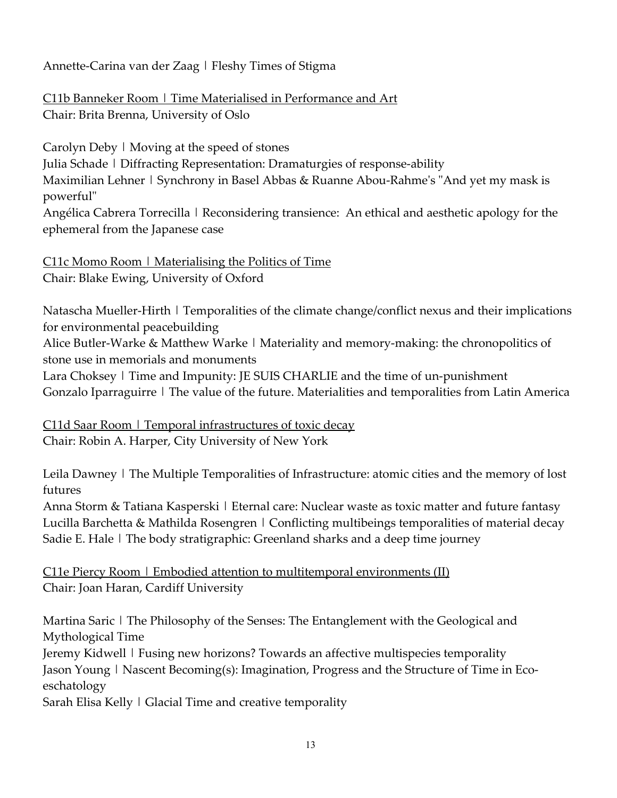Annette-Carina van der Zaag | Fleshy Times of Stigma

C11b Banneker Room | Time Materialised in Performance and Art Chair: Brita Brenna, University of Oslo

Carolyn Deby | Moving at the speed of stones Julia Schade | Diffracting Representation: Dramaturgies of response-ability Maximilian Lehner | Synchrony in Basel Abbas & Ruanne Abou-Rahme's "And yet my mask is powerful" Angélica Cabrera Torrecilla | Reconsidering transience: An ethical and aesthetic apology for the ephemeral from the Japanese case

C11c Momo Room | Materialising the Politics of Time Chair: Blake Ewing, University of Oxford

Natascha Mueller-Hirth | Temporalities of the climate change/conflict nexus and their implications for environmental peacebuilding

Alice Butler-Warke & Matthew Warke | Materiality and memory-making: the chronopolitics of stone use in memorials and monuments

Lara Choksey | Time and Impunity: JE SUIS CHARLIE and the time of un-punishment Gonzalo Iparraguirre | The value of the future. Materialities and temporalities from Latin America

<u>C11d Saar Room | Temporal infrastructures of toxic decay</u> Chair: Robin A. Harper, City University of New York

Leila Dawney | The Multiple Temporalities of Infrastructure: atomic cities and the memory of lost futures

Anna Storm & Tatiana Kasperski | Eternal care: Nuclear waste as toxic matter and future fantasy Lucilla Barchetta & Mathilda Rosengren | Conflicting multibeings temporalities of material decay Sadie E. Hale | The body stratigraphic: Greenland sharks and a deep time journey

C11e Piercy Room | Embodied attention to multitemporal environments (II) Chair: Joan Haran, Cardiff University

Martina Saric | The Philosophy of the Senses: The Entanglement with the Geological and Mythological Time

Jeremy Kidwell | Fusing new horizons? Towards an affective multispecies temporality Jason Young | Nascent Becoming(s): Imagination, Progress and the Structure of Time in Ecoeschatology

Sarah Elisa Kelly | Glacial Time and creative temporality